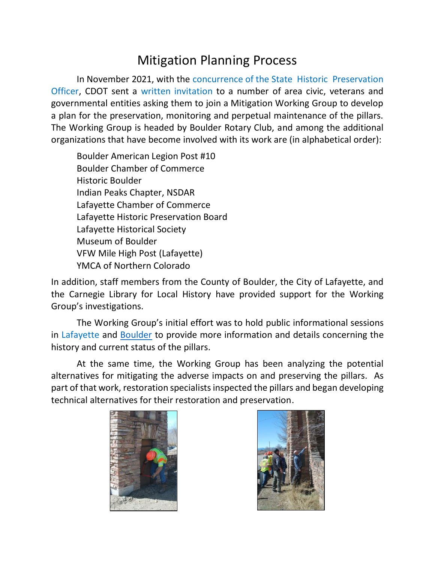## Mitigation Planning Process

In November 2021, with the concurrence of the State Historic Preservation Officer, CDOT sent a written invitation to a number of area civic, veterans and governmental entities asking them to join a Mitigation Working Group to develop a plan for the preservation, monitoring and perpetual maintenance of the pillars. The Working Group is headed by Boulder Rotary Club, and among the additional organizations that have become involved with its work are (in alphabetical order):

Boulder American Legion Post #10 Boulder Chamber of Commerce Historic Boulder Indian Peaks Chapter, NSDAR Lafayette Chamber of Commerce Lafayette Historic Preservation Board Lafayette Historical Society Museum of Boulder VFW Mile High Post (Lafayette) YMCA of Northern Colorado

In addition, staff members from the County of Boulder, the City of Lafayette, and the Carnegie Library for Local History have provided support for the Working Group's investigations.

The Working Group's initial effort was to hold public informational sessions in Lafayette and [Boulder](https://youtu.be/81C2nlec_R8) to provide more information and details concerning the history and current status of the pillars.

At the same time, the Working Group has been analyzing the potential alternatives for mitigating the adverse impacts on and preserving the pillars. As part of that work, restoration specialists inspected the pillars and began developing technical alternatives for their restoration and preservation.